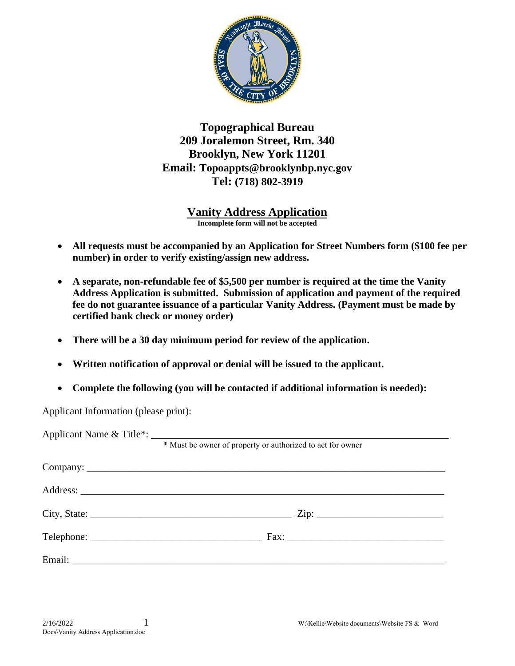

**Topographical Bureau 209 Joralemon Street, Rm. 340 Brooklyn, New York 11201 Email: Topoappts@brooklynbp.nyc.gov Tel: (718) 802-3919** 

> **Vanity Address Application Incomplete form will not be accepted**

- **All requests must be accompanied by an Application for Street Numbers form (\$100 fee per number) in order to verify existing/assign new address.**
- **A separate, non-refundable fee of \$5,500 per number is required at the time the Vanity Address Application is submitted. Submission of application and payment of the required fee do not guarantee issuance of a particular Vanity Address. (Payment must be made by certified bank check or money order)**
- **There will be a 30 day minimum period for review of the application.**
- **Written notification of approval or denial will be issued to the applicant.**
- **Complete the following (you will be contacted if additional information is needed):**

Applicant Information (please print):

| * Must be owner of property or authorized to act for owner |  |  |  |
|------------------------------------------------------------|--|--|--|
|                                                            |  |  |  |
|                                                            |  |  |  |
|                                                            |  |  |  |
|                                                            |  |  |  |
|                                                            |  |  |  |
|                                                            |  |  |  |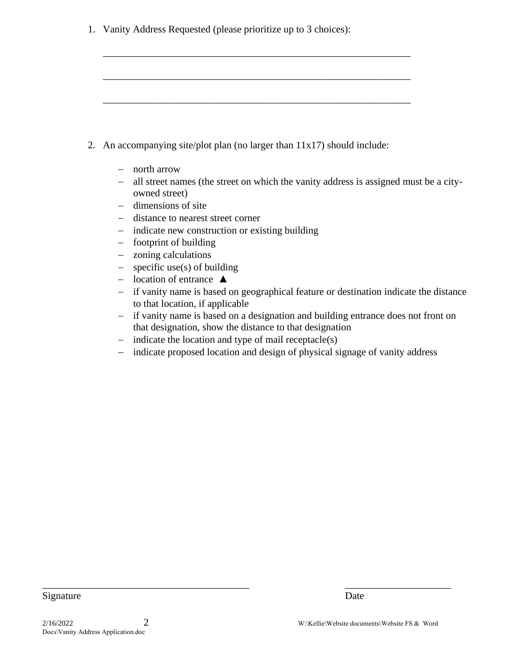1. Vanity Address Requested (please prioritize up to 3 choices):

|  | 2. An accompanying site/plot plan (no larger than $11x17$ ) should include: |  |  |  |  |
|--|-----------------------------------------------------------------------------|--|--|--|--|
|--|-----------------------------------------------------------------------------|--|--|--|--|

\_\_\_\_\_\_\_\_\_\_\_\_\_\_\_\_\_\_\_\_\_\_\_\_\_\_\_\_\_\_\_\_\_\_\_\_\_\_\_\_\_\_\_\_\_\_\_\_\_\_\_\_\_\_\_\_\_\_\_\_\_

\_\_\_\_\_\_\_\_\_\_\_\_\_\_\_\_\_\_\_\_\_\_\_\_\_\_\_\_\_\_\_\_\_\_\_\_\_\_\_\_\_\_\_\_\_\_\_\_\_\_\_\_\_\_\_\_\_\_\_\_\_

\_\_\_\_\_\_\_\_\_\_\_\_\_\_\_\_\_\_\_\_\_\_\_\_\_\_\_\_\_\_\_\_\_\_\_\_\_\_\_\_\_\_\_\_\_\_\_\_\_\_\_\_\_\_\_\_\_\_\_\_\_

- − north arrow
- − all street names (the street on which the vanity address is assigned must be a cityowned street)
- − dimensions of site
- − distance to nearest street corner
- − indicate new construction or existing building
- − footprint of building
- − zoning calculations
- − specific use(s) of building
- − location of entrance ▲
- − if vanity name is based on geographical feature or destination indicate the distance to that location, if applicable
- − if vanity name is based on a designation and building entrance does not front on that designation, show the distance to that designation
- − indicate the location and type of mail receptacle(s)

\_\_\_\_\_\_\_\_\_\_\_\_\_\_\_\_\_\_\_\_\_\_\_\_\_\_\_\_\_\_\_\_\_\_\_\_\_\_\_\_\_ \_\_\_\_\_\_\_\_\_\_\_\_\_\_\_\_\_\_\_\_\_

− indicate proposed location and design of physical signage of vanity address